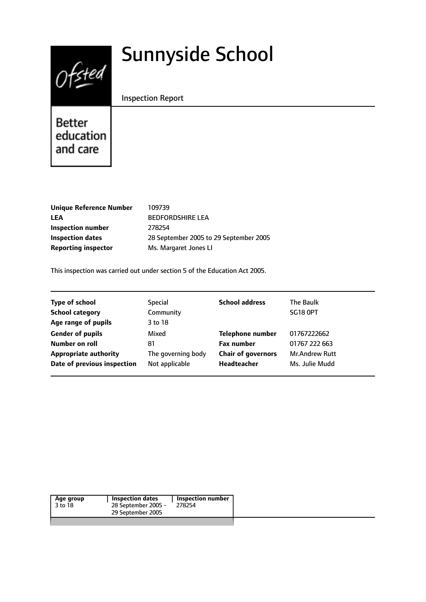# $0$ fsted

# Sunnyside School

Inspection Report

Better education and care

| <b>Unique Reference Number</b> | 109739                                 |
|--------------------------------|----------------------------------------|
| <b>LEA</b>                     | <b>BEDFORDSHIRE LEA</b>                |
| Inspection number              | 278254                                 |
| <b>Inspection dates</b>        | 28 September 2005 to 29 September 2005 |
| <b>Reporting inspector</b>     | Ms. Margaret Jones LI                  |
|                                |                                        |

This inspection was carried out under section 5 of the Education Act 2005.

| <b>Type of school</b>        | <b>Special</b>     | <b>School address</b>     | The Baulk             |
|------------------------------|--------------------|---------------------------|-----------------------|
| <b>School category</b>       | Community          |                           | <b>SG18 OPT</b>       |
| Age range of pupils          | 3 to 18            |                           |                       |
| <b>Gender of pupils</b>      | Mixed              | <b>Telephone number</b>   | 01767222662           |
| Number on roll               | 81                 | <b>Fax number</b>         | 01767 222 663         |
| <b>Appropriate authority</b> | The governing body | <b>Chair of governors</b> | <b>Mr.Andrew Rutt</b> |
| Date of previous inspection  | Not applicable     | <b>Headteacher</b>        | Ms. Julie Mudd        |

|--|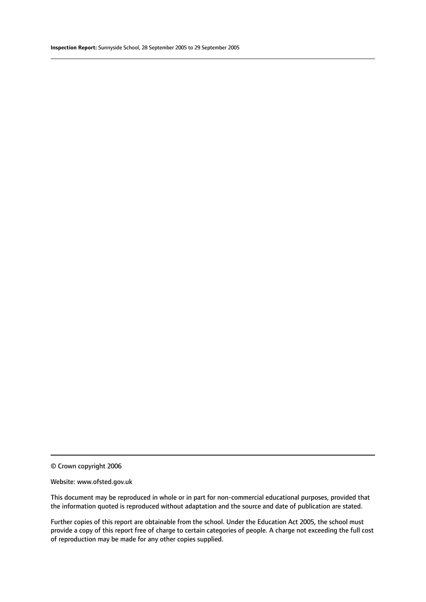© Crown copyright 2006

#### Website: www.ofsted.gov.uk

This document may be reproduced in whole or in part for non-commercial educational purposes, provided that the information quoted is reproduced without adaptation and the source and date of publication are stated.

Further copies of this report are obtainable from the school. Under the Education Act 2005, the school must provide a copy of this report free of charge to certain categories of people. A charge not exceeding the full cost of reproduction may be made for any other copies supplied.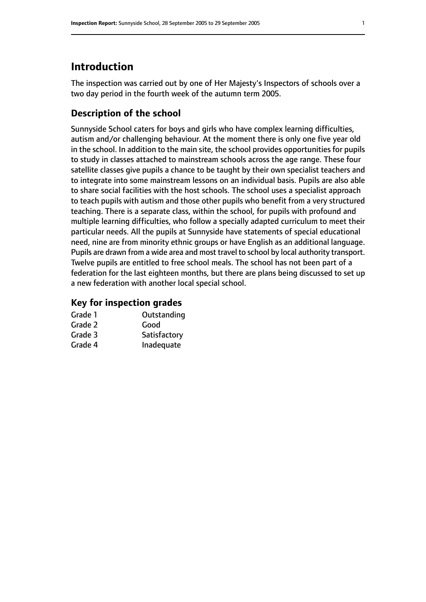# **Introduction**

The inspection was carried out by one of Her Majesty's Inspectors of schools over a two day period in the fourth week of the autumn term 2005.

### **Description of the school**

Sunnyside School caters for boys and girls who have complex learning difficulties, autism and/or challenging behaviour. At the moment there is only one five year old in the school. In addition to the main site, the school provides opportunities for pupils to study in classes attached to mainstream schools across the age range. These four satellite classes give pupils a chance to be taught by their own specialist teachers and to integrate into some mainstream lessons on an individual basis. Pupils are also able to share social facilities with the host schools. The school uses a specialist approach to teach pupils with autism and those other pupils who benefit from a very structured teaching. There is a separate class, within the school, for pupils with profound and multiple learning difficulties, who follow a specially adapted curriculum to meet their particular needs. All the pupils at Sunnyside have statements of special educational need, nine are from minority ethnic groups or have English as an additional language. Pupils are drawn from a wide area and most travel to school by local authority transport. Twelve pupils are entitled to free school meals. The school has not been part of a federation for the last eighteen months, but there are plans being discussed to set up a new federation with another local special school.

#### **Key for inspection grades**

| Grade 1 | Outstanding  |
|---------|--------------|
| Grade 2 | Good         |
| Grade 3 | Satisfactory |
| Grade 4 | Inadequate   |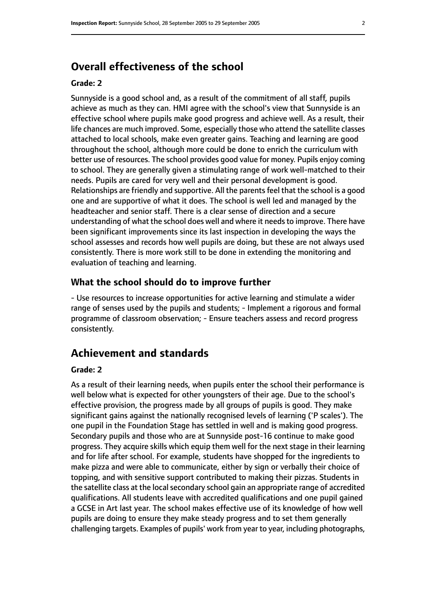# **Overall effectiveness of the school**

#### **Grade: 2**

Sunnyside is a good school and, as a result of the commitment of all staff, pupils achieve as much as they can. HMI agree with the school's view that Sunnyside is an effective school where pupils make good progress and achieve well. As a result, their life chances are much improved. Some, especially those who attend the satellite classes attached to local schools, make even greater gains. Teaching and learning are good throughout the school, although more could be done to enrich the curriculum with better use of resources. The school provides good value for money. Pupils enjoy coming to school. They are generally given a stimulating range of work well-matched to their needs. Pupils are cared for very well and their personal development is good. Relationships are friendly and supportive. All the parents feel that the school is a good one and are supportive of what it does. The school is well led and managed by the headteacher and senior staff. There is a clear sense of direction and a secure understanding of what the school does well and where it needsto improve. There have been significant improvements since its last inspection in developing the ways the school assesses and records how well pupils are doing, but these are not always used consistently. There is more work still to be done in extending the monitoring and evaluation of teaching and learning.

#### **What the school should do to improve further**

- Use resources to increase opportunities for active learning and stimulate a wider range of senses used by the pupils and students; - Implement a rigorous and formal programme of classroom observation; - Ensure teachers assess and record progress consistently.

# **Achievement and standards**

#### **Grade: 2**

As a result of their learning needs, when pupils enter the school their performance is well below what is expected for other youngsters of their age. Due to the school's effective provision, the progress made by all groups of pupils is good. They make significant gains against the nationally recognised levels of learning ('P scales'). The one pupil in the Foundation Stage has settled in well and is making good progress. Secondary pupils and those who are at Sunnyside post-16 continue to make good progress. They acquire skills which equip them well for the next stage in their learning and for life after school. For example, students have shopped for the ingredients to make pizza and were able to communicate, either by sign or verbally their choice of topping, and with sensitive support contributed to making their pizzas. Students in the satellite class at the local secondary school gain an appropriate range of accredited qualifications. All students leave with accredited qualifications and one pupil gained a GCSE in Art last year. The school makes effective use of its knowledge of how well pupils are doing to ensure they make steady progress and to set them generally challenging targets. Examples of pupils' work from year to year, including photographs,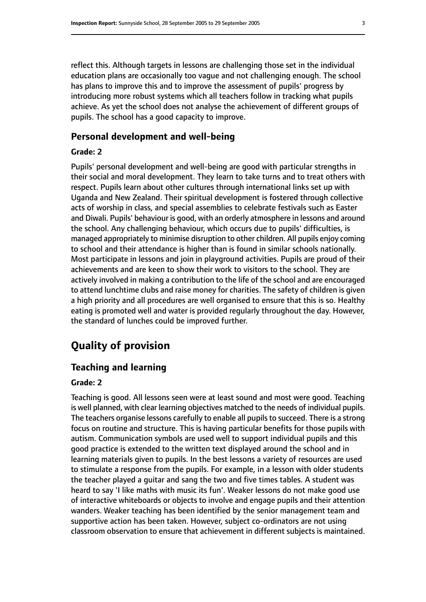reflect this. Although targets in lessons are challenging those set in the individual education plans are occasionally too vague and not challenging enough. The school has plans to improve this and to improve the assessment of pupils' progress by introducing more robust systems which all teachers follow in tracking what pupils achieve. As yet the school does not analyse the achievement of different groups of pupils. The school has a good capacity to improve.

#### **Personal development and well-being**

#### **Grade: 2**

Pupils' personal development and well-being are good with particular strengths in their social and moral development. They learn to take turns and to treat others with respect. Pupils learn about other cultures through international links set up with Uganda and New Zealand. Their spiritual development is fostered through collective acts of worship in class, and special assemblies to celebrate festivals such as Easter and Diwali. Pupils' behaviour is good, with an orderly atmosphere in lessons and around the school. Any challenging behaviour, which occurs due to pupils' difficulties, is managed appropriately to minimise disruption to other children. All pupils enjoy coming to school and their attendance is higher than is found in similar schools nationally. Most participate in lessons and join in playground activities. Pupils are proud of their achievements and are keen to show their work to visitors to the school. They are actively involved in making a contribution to the life of the school and are encouraged to attend lunchtime clubs and raise money for charities. The safety of children is given a high priority and all procedures are well organised to ensure that this is so. Healthy eating is promoted well and water is provided regularly throughout the day. However, the standard of lunches could be improved further.

# **Quality of provision**

#### **Teaching and learning**

#### **Grade: 2**

Teaching is good. All lessons seen were at least sound and most were good. Teaching is well planned, with clear learning objectives matched to the needs of individual pupils. The teachers organise lessons carefully to enable all pupils to succeed. There is a strong focus on routine and structure. This is having particular benefits for those pupils with autism. Communication symbols are used well to support individual pupils and this good practice is extended to the written text displayed around the school and in learning materials given to pupils. In the best lessons a variety of resources are used to stimulate a response from the pupils. For example, in a lesson with older students the teacher played a guitar and sang the two and five times tables. A student was heard to say 'I like maths with music its fun'. Weaker lessons do not make good use of interactive whiteboards or objects to involve and engage pupils and their attention wanders. Weaker teaching has been identified by the senior management team and supportive action has been taken. However, subject co-ordinators are not using classroom observation to ensure that achievement in different subjects is maintained.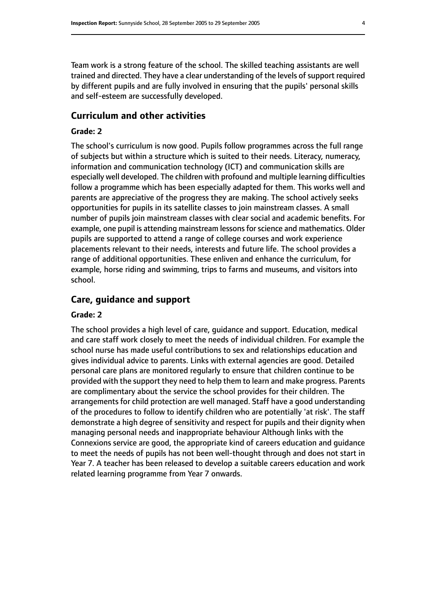Team work is a strong feature of the school. The skilled teaching assistants are well trained and directed. They have a clear understanding of the levels of support required by different pupils and are fully involved in ensuring that the pupils' personal skills and self-esteem are successfully developed.

#### **Curriculum and other activities**

#### **Grade: 2**

The school's curriculum is now good. Pupils follow programmes across the full range of subjects but within a structure which is suited to their needs. Literacy, numeracy, information and communication technology (ICT) and communication skills are especially well developed. The children with profound and multiple learning difficulties follow a programme which has been especially adapted for them. This works well and parents are appreciative of the progress they are making. The school actively seeks opportunities for pupils in its satellite classes to join mainstream classes. A small number of pupils join mainstream classes with clear social and academic benefits. For example, one pupil is attending mainstream lessons for science and mathematics. Older pupils are supported to attend a range of college courses and work experience placements relevant to their needs, interests and future life. The school provides a range of additional opportunities. These enliven and enhance the curriculum, for example, horse riding and swimming, trips to farms and museums, and visitors into school.

#### **Care, guidance and support**

#### **Grade: 2**

The school provides a high level of care, guidance and support. Education, medical and care staff work closely to meet the needs of individual children. For example the school nurse has made useful contributions to sex and relationships education and gives individual advice to parents. Links with external agencies are good. Detailed personal care plans are monitored regularly to ensure that children continue to be provided with the support they need to help them to learn and make progress. Parents are complimentary about the service the school provides for their children. The arrangements for child protection are well managed. Staff have a good understanding of the procedures to follow to identify children who are potentially 'at risk'. The staff demonstrate a high degree of sensitivity and respect for pupils and their dignity when managing personal needs and inappropriate behaviour Although links with the Connexions service are good, the appropriate kind of careers education and guidance to meet the needs of pupils has not been well-thought through and does not start in Year 7. A teacher has been released to develop a suitable careers education and work related learning programme from Year 7 onwards.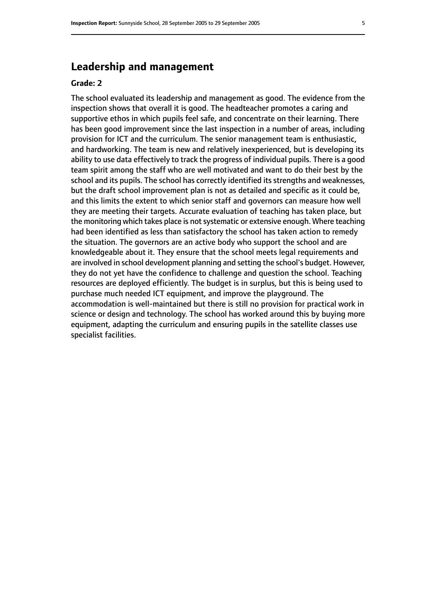# **Leadership and management**

#### **Grade: 2**

The school evaluated its leadership and management as good. The evidence from the inspection shows that overall it is good. The headteacher promotes a caring and supportive ethos in which pupils feel safe, and concentrate on their learning. There has been good improvement since the last inspection in a number of areas, including provision for ICT and the curriculum. The senior management team is enthusiastic, and hardworking. The team is new and relatively inexperienced, but is developing its ability to use data effectively to track the progress of individual pupils. There is a good team spirit among the staff who are well motivated and want to do their best by the school and its pupils. The school has correctly identified its strengths and weaknesses, but the draft school improvement plan is not as detailed and specific as it could be, and this limits the extent to which senior staff and governors can measure how well they are meeting their targets. Accurate evaluation of teaching has taken place, but the monitoring which takes place is not systematic or extensive enough. Where teaching had been identified as less than satisfactory the school has taken action to remedy the situation. The governors are an active body who support the school and are knowledgeable about it. They ensure that the school meets legal requirements and are involved in school development planning and setting the school's budget. However, they do not yet have the confidence to challenge and question the school. Teaching resources are deployed efficiently. The budget is in surplus, but this is being used to purchase much needed ICT equipment, and improve the playground. The accommodation is well-maintained but there is still no provision for practical work in science or design and technology. The school has worked around this by buying more equipment, adapting the curriculum and ensuring pupils in the satellite classes use specialist facilities.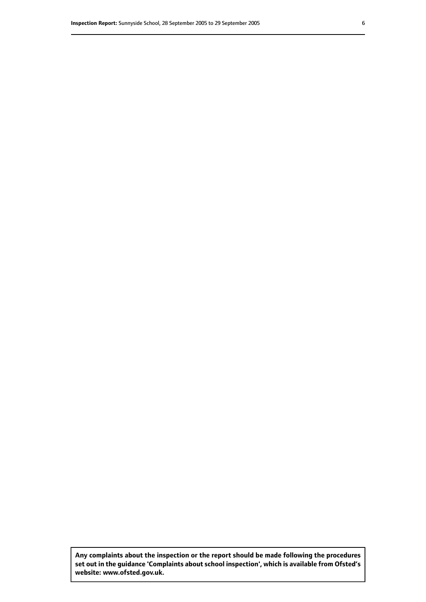**Any complaints about the inspection or the report should be made following the procedures set out inthe guidance 'Complaints about school inspection', whichis available from Ofsted's website: www.ofsted.gov.uk.**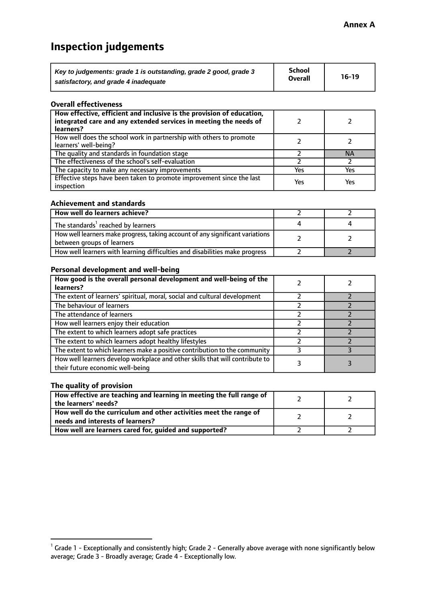# **Inspection judgements**

| Key to judgements: grade 1 is outstanding, grade 2 good, grade 3 | School         | $16-19$ |
|------------------------------------------------------------------|----------------|---------|
| satisfactory, and grade 4 inadequate                             | <b>Overall</b> |         |

#### **Overall effectiveness**

| How effective, efficient and inclusive is the provision of education,<br>integrated care and any extended services in meeting the needs of<br>learners? |     |           |
|---------------------------------------------------------------------------------------------------------------------------------------------------------|-----|-----------|
| How well does the school work in partnership with others to promote<br>learners' well-being?                                                            |     |           |
| The quality and standards in foundation stage                                                                                                           |     | <b>NA</b> |
| The effectiveness of the school's self-evaluation                                                                                                       |     |           |
| The capacity to make any necessary improvements                                                                                                         | Yes | Yes       |
| Effective steps have been taken to promote improvement since the last<br>inspection                                                                     | Yes | Yes       |

#### **Achievement and standards**

| How well do learners achieve?                                                                               |  |
|-------------------------------------------------------------------------------------------------------------|--|
| The standards <sup>1</sup> reached by learners                                                              |  |
| How well learners make progress, taking account of any significant variations<br>between groups of learners |  |
| How well learners with learning difficulties and disabilities make progress                                 |  |

#### **Personal development and well-being**

| How good is the overall personal development and well-being of the<br>learners?                                  |  |
|------------------------------------------------------------------------------------------------------------------|--|
| The extent of learners' spiritual, moral, social and cultural development                                        |  |
| The behaviour of learners                                                                                        |  |
| The attendance of learners                                                                                       |  |
| How well learners enjoy their education                                                                          |  |
| The extent to which learners adopt safe practices                                                                |  |
| The extent to which learners adopt healthy lifestyles                                                            |  |
| The extent to which learners make a positive contribution to the community                                       |  |
| How well learners develop workplace and other skills that will contribute to<br>their future economic well-being |  |

#### **The quality of provision**

| How effective are teaching and learning in meeting the full range of<br>the learners' needs?          |  |
|-------------------------------------------------------------------------------------------------------|--|
| How well do the curriculum and other activities meet the range of<br>needs and interests of learners? |  |
| How well are learners cared for, guided and supported?                                                |  |

 $^1$  Grade 1 - Exceptionally and consistently high; Grade 2 - Generally above average with none significantly below average; Grade 3 - Broadly average; Grade 4 - Exceptionally low.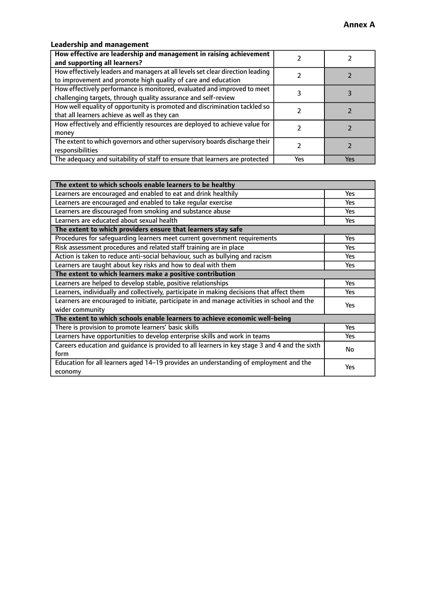# **Leadership and management**

| How effective are leadership and management in raising achievement<br>and supporting all learners?                                              |     |     |
|-------------------------------------------------------------------------------------------------------------------------------------------------|-----|-----|
| How effectively leaders and managers at all levels set clear direction leading<br>to improvement and promote high quality of care and education |     |     |
| How effectively performance is monitored, evaluated and improved to meet<br>challenging targets, through quality assurance and self-review      |     |     |
| How well equality of opportunity is promoted and discrimination tackled so<br>that all learners achieve as well as they can                     |     |     |
| How effectively and efficiently resources are deployed to achieve value for<br>money                                                            |     |     |
| The extent to which governors and other supervisory boards discharge their<br>responsibilities                                                  |     |     |
| The adequacy and suitability of staff to ensure that learners are protected                                                                     | Yes | Yes |

| The extent to which schools enable learners to be healthy                                     |            |  |
|-----------------------------------------------------------------------------------------------|------------|--|
| Learners are encouraged and enabled to eat and drink healthily                                | <b>Yes</b> |  |
| Learners are encouraged and enabled to take regular exercise                                  | <b>Yes</b> |  |
| Learners are discouraged from smoking and substance abuse                                     | Yes        |  |
| Learners are educated about sexual health                                                     | Yes        |  |
| The extent to which providers ensure that learners stay safe                                  |            |  |
| Procedures for safequarding learners meet current government requirements                     | <b>Yes</b> |  |
| Risk assessment procedures and related staff training are in place                            | <b>Yes</b> |  |
| Action is taken to reduce anti-social behaviour, such as bullying and racism                  | Yes        |  |
| Learners are taught about key risks and how to deal with them                                 | Yes        |  |
| The extent to which learners make a positive contribution                                     |            |  |
| Learners are helped to develop stable, positive relationships                                 | Yes        |  |
| Learners, individually and collectively, participate in making decisions that affect them     | <b>Yes</b> |  |
| Learners are encouraged to initiate, participate in and manage activities in school and the   | <b>Yes</b> |  |
| wider community                                                                               |            |  |
| The extent to which schools enable learners to achieve economic well-being                    |            |  |
| There is provision to promote learners' basic skills                                          | <b>Yes</b> |  |
| Learners have opportunities to develop enterprise skills and work in teams                    | Yes        |  |
| Careers education and quidance is provided to all learners in key stage 3 and 4 and the sixth | No         |  |
| form                                                                                          |            |  |
| Education for all learners aged 14-19 provides an understanding of employment and the         | Yes        |  |
| economy                                                                                       |            |  |